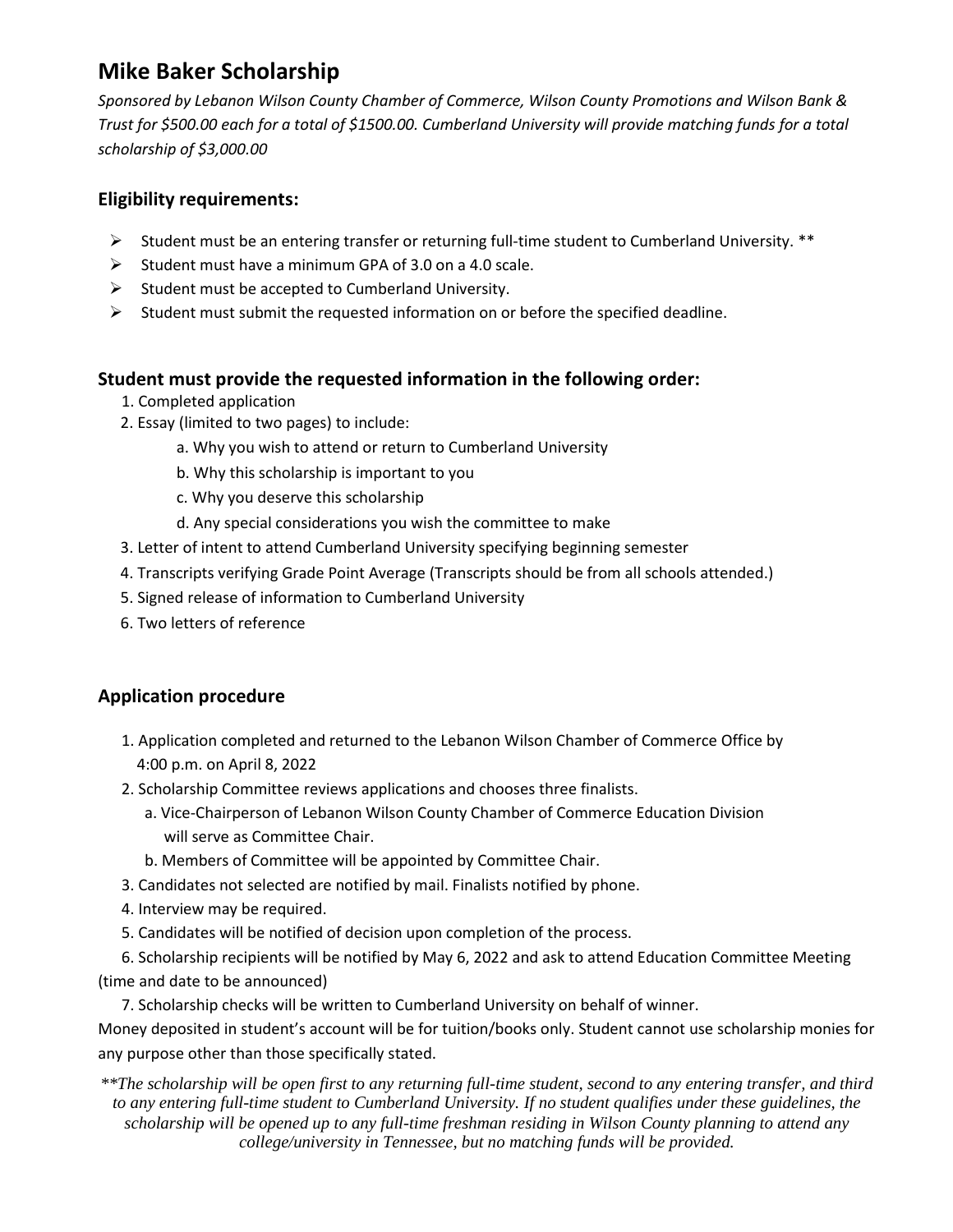# **Mike Baker Scholarship**

*Sponsored by Lebanon Wilson County Chamber of Commerce, Wilson County Promotions and Wilson Bank & Trust for \$500.00 each for a total of \$1500.00. Cumberland University will provide matching funds for a total scholarship of \$3,000.00*

#### **Eligibility requirements:**

- $\triangleright$  Student must be an entering transfer or returning full-time student to Cumberland University. \*\*
- $\triangleright$  Student must have a minimum GPA of 3.0 on a 4.0 scale.
- $\triangleright$  Student must be accepted to Cumberland University.
- $\triangleright$  Student must submit the requested information on or before the specified deadline.

#### **Student must provide the requested information in the following order:**

- 1. Completed application
- 2. Essay (limited to two pages) to include:
	- a. Why you wish to attend or return to Cumberland University
	- b. Why this scholarship is important to you
	- c. Why you deserve this scholarship
	- d. Any special considerations you wish the committee to make
- 3. Letter of intent to attend Cumberland University specifying beginning semester
- 4. Transcripts verifying Grade Point Average (Transcripts should be from all schools attended.)
- 5. Signed release of information to Cumberland University
- 6. Two letters of reference

### **Application procedure**

- 1. Application completed and returned to the Lebanon Wilson Chamber of Commerce Office by 4:00 p.m. on April 8, 2022
- 2. Scholarship Committee reviews applications and chooses three finalists.
	- a. Vice-Chairperson of Lebanon Wilson County Chamber of Commerce Education Division will serve as Committee Chair.
	- b. Members of Committee will be appointed by Committee Chair.
- 3. Candidates not selected are notified by mail. Finalists notified by phone.
- 4. Interview may be required.
- 5. Candidates will be notified of decision upon completion of the process.
- 6. Scholarship recipients will be notified by May 6, 2022 and ask to attend Education Committee Meeting (time and date to be announced)
	- 7. Scholarship checks will be written to Cumberland University on behalf of winner.

Money deposited in student's account will be for tuition/books only. Student cannot use scholarship monies for any purpose other than those specifically stated.

*\*\*The scholarship will be open first to any returning full-time student, second to any entering transfer, and third to any entering full-time student to Cumberland University. If no student qualifies under these guidelines, the scholarship will be opened up to any full-time freshman residing in Wilson County planning to attend any college/university in Tennessee, but no matching funds will be provided.*